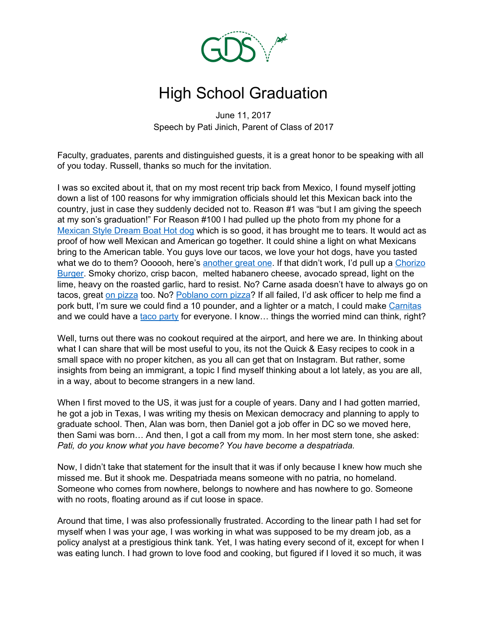

# High School Graduation

June 11, 2017 Speech by Pati Jinich, Parent of Class of 2017

Faculty, graduates, parents and distinguished guests, it is a great honor to be speaking with all of you today. Russell, thanks so much for the invitation.

I was so excited about it, that on my most recent trip back from Mexico, I found myself jotting down a list of 100 reasons for why immigration officials should let this Mexican back into the country, just in case they suddenly decided not to. Reason #1 was "but I am giving the speech at my son's graduation!" For Reason #100 I had pulled up the photo from my phone for a [Mexican](https://patijinich.com/recipe/mexican-hot-dogs/) Style Dream Boat Hot dog which is so good, it has brought me to tears. It would act as proof of how well Mexican and American go together. It could shine a light on what Mexicans bring to the American table. You guys love our tacos, we love your hot dogs, have you tasted what we do to them? Oooooh, here's [another](https://patijinich.com/recipe/bacon-cheese-dogs-with-avocado-pickle/) great one. If that didn't work, I'd pull up a [Chorizo](https://patijinich.com/recipe/chef-rods-chorizo-burger/) [Burger.](https://patijinich.com/recipe/chef-rods-chorizo-burger/) Smoky chorizo, crisp bacon, melted habanero cheese, avocado spread, light on the lime, heavy on the roasted garlic, hard to resist. No? Carne asada doesn't have to always go on tacos, great on [pizza](https://patijinich.com/recipe/carne-asada-and-cebollitas-pizza/) too. No? [Poblano](https://patijinich.com/recipe/poblano-corn-and-zucchini-pizza/) corn pizza? If all failed, I'd ask officer to help me find a pork butt, I'm sure we could find a 10 pounder, and a lighter or a match, I could make [Carnitas](https://patijinich.com/recipe/carnitas/) and we could have a taco [party](https://patijinich.com/wp-content/uploads/2017/06/carnitas-tacos-compressed.jpg) for everyone. I know... things the worried mind can think, right?

Well, turns out there was no cookout required at the airport, and here we are. In thinking about what I can share that will be most useful to you, its not the Quick & Easy recipes to cook in a small space with no proper kitchen, as you all can get that on Instagram. But rather, some insights from being an immigrant, a topic I find myself thinking about a lot lately, as you are all, in a way, about to become strangers in a new land.

When I first moved to the US, it was just for a couple of years. Dany and I had gotten married, he got a job in Texas, I was writing my thesis on Mexican democracy and planning to apply to graduate school. Then, Alan was born, then Daniel got a job offer in DC so we moved here, then Sami was born… And then, I got a call from my mom. In her most stern tone, she asked: *Pati, do you know what you have become? You have become a despatriada.*

Now, I didn't take that statement for the insult that it was if only because I knew how much she missed me. But it shook me. Despatriada means someone with no patria, no homeland. Someone who comes from nowhere, belongs to nowhere and has nowhere to go. Someone with no roots, floating around as if cut loose in space.

Around that time, I was also professionally frustrated. According to the linear path I had set for myself when I was your age, I was working in what was supposed to be my dream job, as a policy analyst at a prestigious think tank. Yet, I was hating every second of it, except for when I was eating lunch. I had grown to love food and cooking, but figured if I loved it so much, it was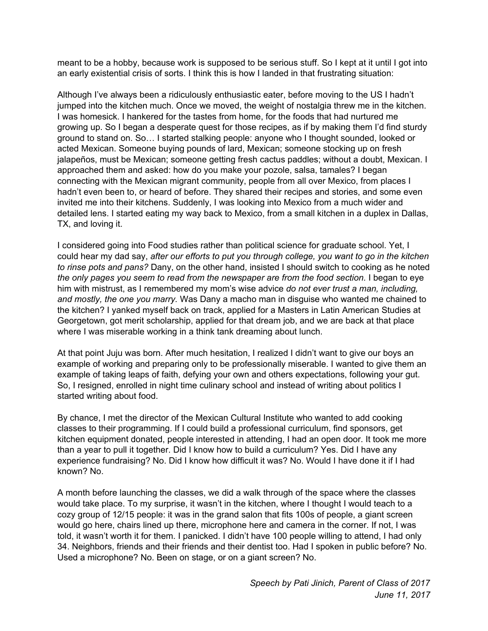meant to be a hobby, because work is supposed to be serious stuff. So I kept at it until I got into an early existential crisis of sorts. I think this is how I landed in that frustrating situation:

Although I've always been a ridiculously enthusiastic eater, before moving to the US I hadn't jumped into the kitchen much. Once we moved, the weight of nostalgia threw me in the kitchen. I was homesick. I hankered for the tastes from home, for the foods that had nurtured me growing up. So I began a desperate quest for those recipes, as if by making them I'd find sturdy ground to stand on. So… I started stalking people: anyone who I thought sounded, looked or acted Mexican. Someone buying pounds of lard, Mexican; someone stocking up on fresh jalapeños, must be Mexican; someone getting fresh cactus paddles; without a doubt, Mexican. I approached them and asked: how do you make your pozole, salsa, tamales? I began connecting with the Mexican migrant community, people from all over Mexico, from places I hadn't even been to, or heard of before. They shared their recipes and stories, and some even invited me into their kitchens. Suddenly, I was looking into Mexico from a much wider and detailed lens. I started eating my way back to Mexico, from a small kitchen in a duplex in Dallas, TX, and loving it.

I considered going into Food studies rather than political science for graduate school. Yet, I could hear my dad say, *after our efforts to put you through college, you want to go in the kitchen to rinse pots and pans?* Dany, on the other hand, insisted I should switch to cooking as he noted *the only pages you seem to read from the newspaper are from the food section.* I began to eye him with mistrust, as I remembered my mom's wise advice *do not ever trust a man, including, and mostly, the one you marry.* Was Dany a macho man in disguise who wanted me chained to the kitchen? I yanked myself back on track, applied for a Masters in Latin American Studies at Georgetown, got merit scholarship, applied for that dream job, and we are back at that place where I was miserable working in a think tank dreaming about lunch.

At that point Juju was born. After much hesitation, I realized I didn't want to give our boys an example of working and preparing only to be professionally miserable. I wanted to give them an example of taking leaps of faith, defying your own and others expectations, following your gut. So, I resigned, enrolled in night time culinary school and instead of writing about politics I started writing about food.

By chance, I met the director of the Mexican Cultural Institute who wanted to add cooking classes to their programming. If I could build a professional curriculum, find sponsors, get kitchen equipment donated, people interested in attending, I had an open door. It took me more than a year to pull it together. Did I know how to build a curriculum? Yes. Did I have any experience fundraising? No. Did I know how difficult it was? No. Would I have done it if I had known? No.

A month before launching the classes, we did a walk through of the space where the classes would take place. To my surprise, it wasn't in the kitchen, where I thought I would teach to a cozy group of 12/15 people: it was in the grand salon that fits 100s of people, a giant screen would go here, chairs lined up there, microphone here and camera in the corner. If not, I was told, it wasn't worth it for them. I panicked. I didn't have 100 people willing to attend, I had only 34. Neighbors, friends and their friends and their dentist too. Had I spoken in public before? No. Used a microphone? No. Been on stage, or on a giant screen? No.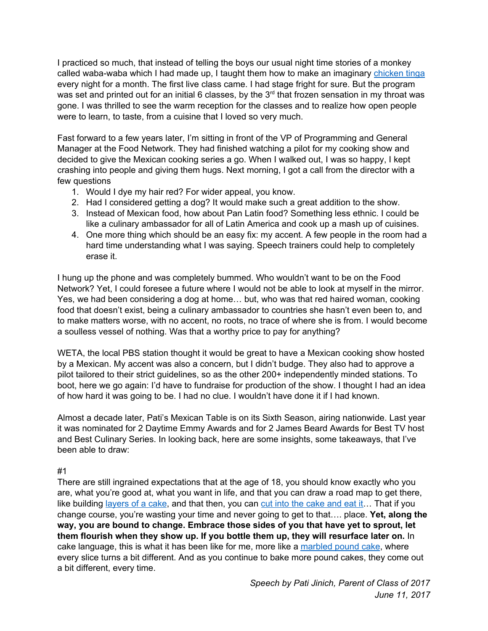I practiced so much, that instead of telling the boys our usual night time stories of a monkey called waba-waba which I had made up, I taught them how to make an imaginary [chicken](https://patijinich.com/recipe/chicken-tinga/) tinga every night for a month. The first live class came. I had stage fright for sure. But the program was set and printed out for an initial 6 classes, by the  $3<sup>rd</sup>$  that frozen sensation in my throat was gone. I was thrilled to see the warm reception for the classes and to realize how open people were to learn, to taste, from a cuisine that I loved so very much.

Fast forward to a few years later, I'm sitting in front of the VP of Programming and General Manager at the Food Network. They had finished watching a pilot for my cooking show and decided to give the Mexican cooking series a go. When I walked out, I was so happy, I kept crashing into people and giving them hugs. Next morning, I got a call from the director with a few questions

- 1. Would I dye my hair red? For wider appeal, you know.
- 2. Had I considered getting a dog? It would make such a great addition to the show.
- 3. Instead of Mexican food, how about Pan Latin food? Something less ethnic. I could be like a culinary ambassador for all of Latin America and cook up a mash up of cuisines.
- 4. One more thing which should be an easy fix: my accent. A few people in the room had a hard time understanding what I was saying. Speech trainers could help to completely erase it.

I hung up the phone and was completely bummed. Who wouldn't want to be on the Food Network? Yet, I could foresee a future where I would not be able to look at myself in the mirror. Yes, we had been considering a dog at home… but, who was that red haired woman, cooking food that doesn't exist, being a culinary ambassador to countries she hasn't even been to, and to make matters worse, with no accent, no roots, no trace of where she is from. I would become a soulless vessel of nothing. Was that a worthy price to pay for anything?

WETA, the local PBS station thought it would be great to have a Mexican cooking show hosted by a Mexican. My accent was also a concern, but I didn't budge. They also had to approve a pilot tailored to their strict guidelines, so as the other 200+ independently minded stations. To boot, here we go again: I'd have to fundraise for production of the show. I thought I had an idea of how hard it was going to be. I had no clue. I wouldn't have done it if I had known.

Almost a decade later, Pati's Mexican Table is on its Sixth Season, airing nationwide. Last year it was nominated for 2 Daytime Emmy Awards and for 2 James Beard Awards for Best TV host and Best Culinary Series. In looking back, here are some insights, some takeaways, that I've been able to draw:

### #1

There are still ingrained expectations that at the age of 18, you should know exactly who you are, what you're good at, what you want in life, and that you can draw a road map to get there, like building [layers](https://patijinich.com/wp-content/uploads/2017/06/meringue-cake-whole-compressed.jpg) of a [cake](https://patijinich.com/recipe/meringue-cake/), and that then, you can cut into the cake and eat it... That if you change course, you're wasting your time and never going to get to that…. place. **Yet, along the way, you are bound to change. Embrace those sides of you that have yet to sprout, let them flourish when they show up. If you bottle them up, they will resurface later on.** In cake language, this is what it has been like for me, more like a [marbled](https://patijinich.com/recipe/alisas-marbled-pound-cake/) pound cake, where every slice turns a bit different. And as you continue to bake more pound cakes, they come out a bit different, every time.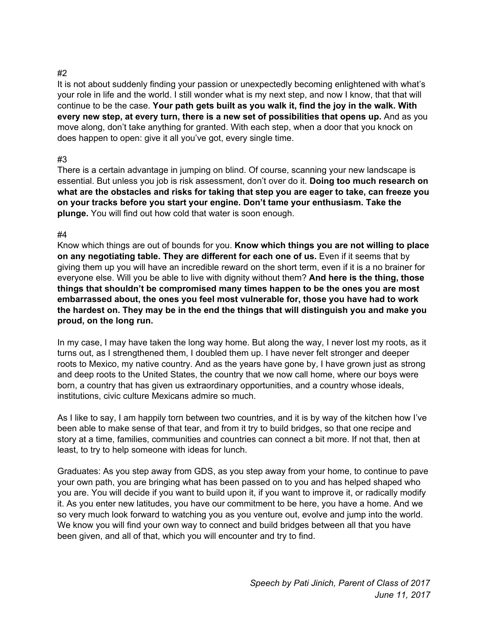## #2

It is not about suddenly finding your passion or unexpectedly becoming enlightened with what's your role in life and the world. I still wonder what is my next step, and now I know, that that will continue to be the case. **Your path gets built as you walk it, find the joy in the walk. With every new step, at every turn, there is a new set of possibilities that opens up.** And as you move along, don't take anything for granted. With each step, when a door that you knock on does happen to open: give it all you've got, every single time.

# #3

There is a certain advantage in jumping on blind. Of course, scanning your new landscape is essential. But unless you job is risk assessment, don't over do it. **Doing too much research on what are the obstacles and risks for taking that step you are eager to take, can freeze you on your tracks before you start your engine. Don't tame your enthusiasm. Take the plunge.** You will find out how cold that water is soon enough.

### #4

Know which things are out of bounds for you. **Know which things you are not willing to place on any negotiating table. They are different for each one of us.** Even if it seems that by giving them up you will have an incredible reward on the short term, even if it is a no brainer for everyone else. Will you be able to live with dignity without them? **And here is the thing, those things that shouldn't be compromised many times happen to be the ones you are most embarrassed about, the ones you feel most vulnerable for, those you have had to work the hardest on. They may be in the end the things that will distinguish you and make you proud, on the long run.**

In my case, I may have taken the long way home. But along the way, I never lost my roots, as it turns out, as I strengthened them, I doubled them up. I have never felt stronger and deeper roots to Mexico, my native country. And as the years have gone by, I have grown just as strong and deep roots to the United States, the country that we now call home, where our boys were born, a country that has given us extraordinary opportunities, and a country whose ideals, institutions, civic culture Mexicans admire so much.

As I like to say, I am happily torn between two countries, and it is by way of the kitchen how I've been able to make sense of that tear, and from it try to build bridges, so that one recipe and story at a time, families, communities and countries can connect a bit more. If not that, then at least, to try to help someone with ideas for lunch.

Graduates: As you step away from GDS, as you step away from your home, to continue to pave your own path, you are bringing what has been passed on to you and has helped shaped who you are. You will decide if you want to build upon it, if you want to improve it, or radically modify it. As you enter new latitudes, you have our commitment to be here, you have a home. And we so very much look forward to watching you as you venture out, evolve and jump into the world. We know you will find your own way to connect and build bridges between all that you have been given, and all of that, which you will encounter and try to find.